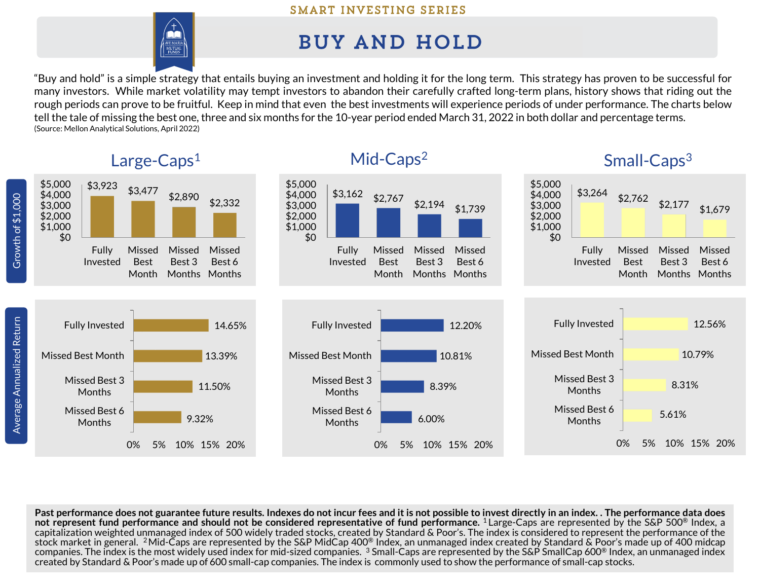## SMART INVESTING SERIES



## **BUY AND HOLD**

"Buy and hold" is a simple strategy that entails buying an investment and holding it for the long term. This strategy has proven to be successful for many investors. While market volatility may tempt investors to abandon their carefully crafted long-term plans, history shows that riding out the rough periods can prove to be fruitful. Keep in mind that even the best investments will experience periods of under performance. The charts below tell the tale of missing the best one, three and six months for the 10-year period ended March 31, 2022 in both dollar and percentage terms. (Source: Mellon Analytical Solutions, April 2022)



Past performance does not guarantee future results. Indexes do not incur fees and it is not possible to invest directly in an index. . The performance data does not represent fund performance and should not be considered representative of fund performance. 1 Large-Caps are represented by the S&P 500® Index, a capitalization weighted unmanaged index of 500 widely traded stocks, created by Standard & Poor's. The index is considered to represent the performance of the stock market in general. <code>2Mid-Caps</code> are represented by the S&P MidCap 400® Index, an unmanaged index created by Standard & Poor's made up of 400 midcap companies. The index is the most widely used index for mid-sized companies.  $^3$  Small-Caps are represented by the S&P SmallCap 600® Index, an unmanaged index created by Standard & Poor's made up of 600 small-cap companies. The index is commonly used to show the performance of small-cap stocks.